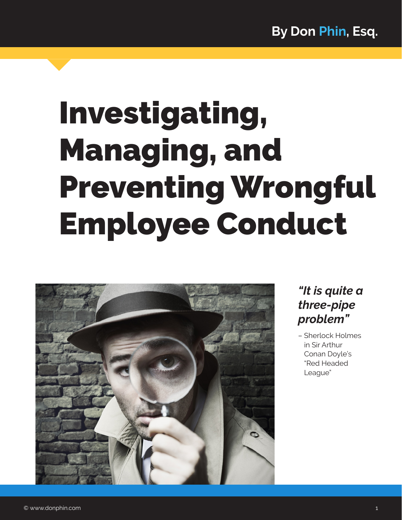# Investigating, Managing, and Preventing Wrongful Employee Conduct



# *"It is quite a three-pipe problem"*

– Sherlock Holmes in Sir Arthur Conan Doyle's "Red Headed League"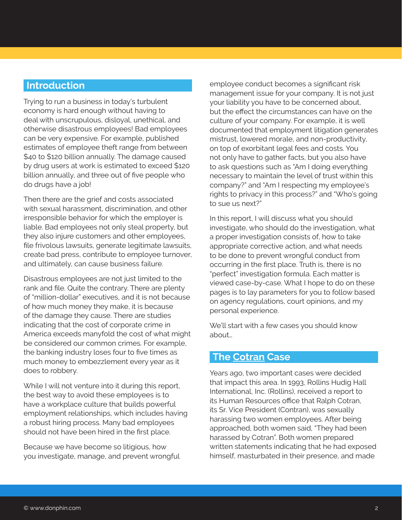#### **Introduction**

Trying to run a business in today's turbulent economy is hard enough without having to deal with unscrupulous, disloyal, unethical, and otherwise disastrous employees! Bad employees can be very expensive. For example, published estimates of employee theft range from between \$40 to \$120 billion annually. The damage caused by drug users at work is estimated to exceed \$120 billion annually, and three out of five people who do drugs have a job!

Then there are the grief and costs associated with sexual harassment, discrimination, and other irresponsible behavior for which the employer is liable. Bad employees not only steal property, but they also injure customers and other employees, file frivolous lawsuits, generate legitimate lawsuits, create bad press, contribute to employee turnover, and ultimately, can cause business failure.

Disastrous employees are not just limited to the rank and file. Quite the contrary. There are plenty of "million-dollar" executives, and it is not because of how much money they make, it is because of the damage they cause. There are studies indicating that the cost of corporate crime in America exceeds manyfold the cost of what might be considered our common crimes. For example, the banking industry loses four to five times as much money to embezzlement every year as it does to robbery.

While I will not venture into it during this report, the best way to avoid these employees is to have a workplace culture that builds powerful employment relationships, which includes having a robust hiring process. Many bad employees should not have been hired in the first place.

Because we have become so litigious, how you investigate, manage, and prevent wrongful employee conduct becomes a significant risk management issue for your company. It is not just your liability you have to be concerned about, but the effect the circumstances can have on the culture of your company. For example, it is well documented that employment litigation generates mistrust, lowered morale, and non-productivity, on top of exorbitant legal fees and costs. You not only have to gather facts, but you also have to ask questions such as "Am I doing everything necessary to maintain the level of trust within this company?" and "Am I respecting my employee's rights to privacy in this process?" and "Who's going to sue us next?"

In this report, I will discuss what you should investigate, who should do the investigation, what a proper investigation consists of, how to take appropriate corrective action, and what needs to be done to prevent wrongful conduct from occurring in the first place. Truth is, there is no "perfect" investigation formula. Each matter is viewed case-by-case. What I hope to do on these pages is to lay parameters for you to follow based on agency regulations, court opinions, and my personal experience.

We'll start with a few cases you should know about…

#### **The Cotran Case**

Years ago, two important cases were decided that impact this area. In 1993, Rollins Hudig Hall International, Inc. (Rollins), received a report to its Human Resources office that Ralph Cotran, its Sr. Vice President (Contran), was sexually harassing two women employees. After being approached, both women said, "They had been harassed by Cotran". Both women prepared written statements indicating that he had exposed himself, masturbated in their presence, and made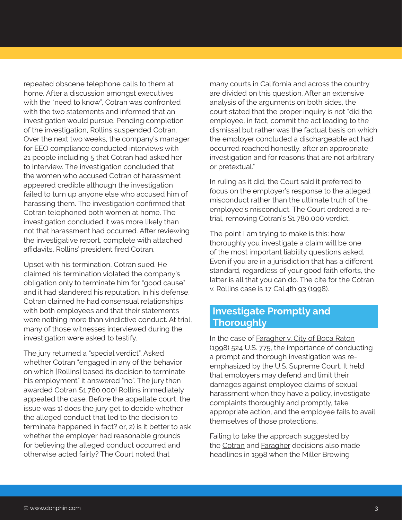repeated obscene telephone calls to them at home. After a discussion amongst executives with the "need to know". Cotran was confronted with the two statements and informed that an investigation would pursue. Pending completion of the investigation, Rollins suspended Cotran. Over the next two weeks, the company's manager for EEO compliance conducted interviews with 21 people including 5 that Cotran had asked her to interview. The investigation concluded that the women who accused Cotran of harassment appeared credible although the investigation failed to turn up anyone else who accused him of harassing them. The investigation confirmed that Cotran telephoned both women at home. The investigation concluded it was more likely than not that harassment had occurred. After reviewing the investigative report, complete with attached affidavits, Rollins' president fired Cotran.

Upset with his termination, Cotran sued. He claimed his termination violated the company's obligation only to terminate him for "good cause" and it had slandered his reputation. In his defense, Cotran claimed he had consensual relationships with both employees and that their statements were nothing more than vindictive conduct. At trial, many of those witnesses interviewed during the investigation were asked to testify.

The jury returned a "special verdict". Asked whether Cotran "engaged in any of the behavior on which [Rollins] based its decision to terminate his employment" it answered "no". The jury then awarded Cotran \$1,780,000! Rollins immediately appealed the case. Before the appellate court, the issue was 1) does the jury get to decide whether the alleged conduct that led to the decision to terminate happened in fact? or, 2) is it better to ask whether the employer had reasonable grounds for believing the alleged conduct occurred and otherwise acted fairly? The Court noted that

many courts in California and across the country are divided on this question. After an extensive analysis of the arguments on both sides, the court stated that the proper inquiry is not "did the employee, in fact, commit the act leading to the dismissal but rather was the factual basis on which the employer concluded a dischargeable act had occurred reached honestly, after an appropriate investigation and for reasons that are not arbitrary or pretextual."

In ruling as it did, the Court said it preferred to focus on the employer's response to the alleged misconduct rather than the ultimate truth of the employee's misconduct. The Court ordered a retrial, removing Cotran's \$1,780,000 verdict.

The point I am trying to make is this: how thoroughly you investigate a claim will be one of the most important liability questions asked. Even if you are in a jurisdiction that has a different standard, regardless of your good faith efforts, the latter is all that you can do. The cite for the Cotran v. Rollins case is 17 Cal.4th 93 (1998).

#### **Investigate Promptly and Thoroughly**

In the case of Faragher v. City of Boca Raton (1998) 524 U.S. 775, the importance of conducting a prompt and thorough investigation was reemphasized by the U.S. Supreme Court. It held that employers may defend and limit their damages against employee claims of sexual harassment when they have a policy, investigate complaints thoroughly and promptly, take appropriate action, and the employee fails to avail themselves of those protections.

Failing to take the approach suggested by the Cotran and Faragher decisions also made headlines in 1998 when the Miller Brewing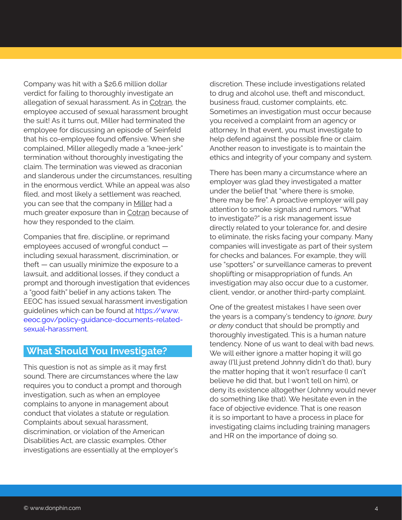Company was hit with a \$26.6 million dollar verdict for failing to thoroughly investigate an allegation of sexual harassment. As in Cotran, the employee accused of sexual harassment brought the suit! As it turns out, Miller had terminated the employee for discussing an episode of Seinfeld that his co-employee found offensive. When she complained, Miller allegedly made a "knee-jerk" termination without thoroughly investigating the claim. The termination was viewed as draconian and slanderous under the circumstances, resulting in the enormous verdict. While an appeal was also filed, and most likely a settlement was reached, you can see that the company in Miller had a much greater exposure than in Cotran because of how they responded to the claim.

Companies that fire, discipline, or reprimand employees accused of wrongful conduct including sexual harassment, discrimination, or theft — can usually minimize the exposure to a lawsuit, and additional losses, if they conduct a prompt and thorough investigation that evidences a "good faith" belief in any actions taken. The EEOC has issued sexual harassment investigation guidelines which can be found at [https://www.](https://www.eeoc.gov/policy-guidance-documents-related-sexual-harassment) [eeoc.gov/policy-guidance-documents-related](https://www.eeoc.gov/policy-guidance-documents-related-sexual-harassment)[sexual-harassment.](https://www.eeoc.gov/policy-guidance-documents-related-sexual-harassment)

#### **What Should You Investigate?**

This question is not as simple as it may first sound. There are circumstances where the law requires you to conduct a prompt and thorough investigation, such as when an employee complains to anyone in management about conduct that violates a statute or regulation. Complaints about sexual harassment, discrimination, or violation of the American Disabilities Act, are classic examples. Other investigations are essentially at the employer's

discretion. These include investigations related to drug and alcohol use, theft and misconduct, business fraud, customer complaints, etc. Sometimes an investigation must occur because you received a complaint from an agency or attorney. In that event, you must investigate to help defend against the possible fine or claim. Another reason to investigate is to maintain the ethics and integrity of your company and system.

There has been many a circumstance where an employer was glad they investigated a matter under the belief that "where there is smoke, there may be fire". A proactive employer will pay attention to smoke signals and rumors. "What to investigate?" is a risk management issue directly related to your tolerance for, and desire to eliminate, the risks facing your company. Many companies will investigate as part of their system for checks and balances. For example, they will use "spotters" or surveillance cameras to prevent shoplifting or misappropriation of funds. An investigation may also occur due to a customer, client, vendor, or another third-party complaint.

One of the greatest mistakes I have seen over the years is a company's tendency to *ignore, bury or deny* conduct that should be promptly and thoroughly investigated. This is a human nature tendency. None of us want to deal with bad news. We will either ignore a matter hoping it will go away (I'll just pretend Johnny didn't do that), bury the matter hoping that it won't resurface (I can't believe he did that, but I won't tell on him), or deny its existence altogether (Johnny would never do something like that). We hesitate even in the face of objective evidence. That is one reason it is so important to have a process in place for investigating claims including training managers and HR on the importance of doing so.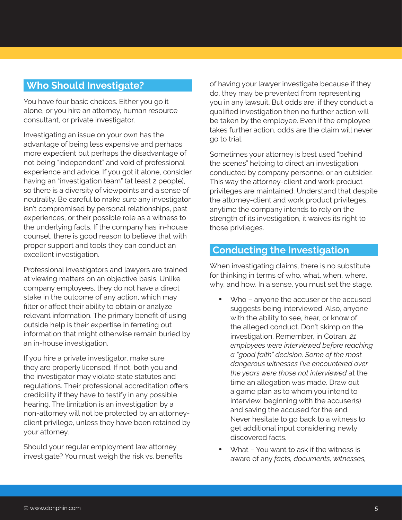#### **Who Should Investigate?**

You have four basic choices. Either you go it alone, or you hire an attorney, human resource consultant, or private investigator.

Investigating an issue on your own has the advantage of being less expensive and perhaps more expedient but perhaps the disadvantage of not being "independent" and void of professional experience and advice. If you got it alone, consider having an "investigation team" (at least 2 people), so there is a diversity of viewpoints and a sense of neutrality. Be careful to make sure any investigator isn't compromised by personal relationships, past experiences, or their possible role as a witness to the underlying facts. If the company has in-house counsel, there is good reason to believe that with proper support and tools they can conduct an excellent investigation.

Professional investigators and lawyers are trained at viewing matters on an objective basis. Unlike company employees, they do not have a direct stake in the outcome of any action, which may filter or affect their ability to obtain or analyze relevant information. The primary benefit of using outside help is their expertise in ferreting out information that might otherwise remain buried by an in-house investigation.

If you hire a private investigator, make sure they are properly licensed. If not, both you and the investigator may violate state statutes and regulations. Their professional accreditation offers credibility if they have to testify in any possible hearing. The limitation is an investigation by a non-attorney will not be protected by an attorneyclient privilege, unless they have been retained by your attorney.

Should your regular employment law attorney investigate? You must weigh the risk vs. benefits of having your lawyer investigate because if they do, they may be prevented from representing you in any lawsuit. But odds are, if they conduct a qualified investigation then no further action will be taken by the employee. Even if the employee takes further action, odds are the claim will never go to trial.

Sometimes your attorney is best used "behind the scenes" helping to direct an investigation conducted by company personnel or an outsider. This way the attorney-client and work product privileges are maintained. Understand that despite the attorney-client and work product privileges, anytime the company intends to rely on the strength of its investigation, it waives its right to those privileges.

#### **Conducting the Investigation**

When investigating claims, there is no substitute for thinking in terms of who, what, when, where, why, and how. In a sense, you must set the stage.

- Who anyone the accuser or the accused suggests being interviewed. Also, anyone with the ability to see, hear, or know of the alleged conduct. Don't skimp on the investigation. Remember, in Cotran, *21 employees were interviewed before reaching a "good faith" decision. Some of the most dangerous witnesses I've encountered over the years were those not interviewed* at the time an allegation was made. Draw out a game plan as to whom you intend to interview, beginning with the accuser(s) and saving the accused for the end. Never hesitate to go back to a witness to get additional input considering newly discovered facts.
- What You want to ask if the witness is aware of any *facts, documents, witnesses,*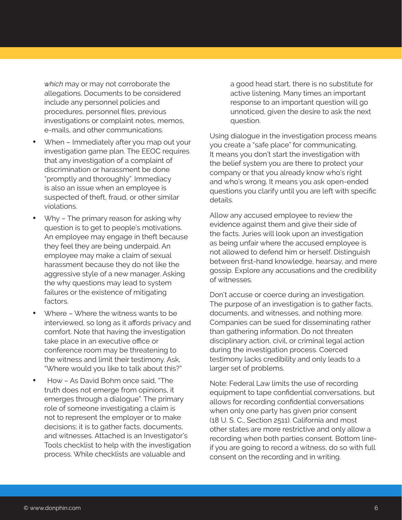*which* may or may not corroborate the allegations. Documents to be considered include any personnel policies and procedures, personnel files, previous investigations or complaint notes, memos, e-mails, and other communications.

- When Immediately after you map out your investigation game plan. The EEOC requires that any investigation of a complaint of discrimination or harassment be done "promptly and thoroughly". Immediacy is also an issue when an employee is suspected of theft, fraud, or other similar violations.
- $W$ hy The primary reason for asking why question is to get to people's motivations. An employee may engage in theft because they feel they are being underpaid. An employee may make a claim of sexual harassment because they do not like the aggressive style of a new manager. Asking the why questions may lead to system failures or the existence of mitigating factors.
- Where Where the witness wants to be interviewed, so long as it affords privacy and comfort. Note that having the investigation take place in an executive office or conference room may be threatening to the witness and limit their testimony. Ask, "Where would you like to talk about this?"
- How As David Bohm once said. "The truth does not emerge from opinions, it emerges through a dialogue". The primary role of someone investigating a claim is not to represent the employer or to make decisions; it is to gather facts, documents, and witnesses. Attached is an Investigator's Tools checklist to help with the investigation process. While checklists are valuable and

a good head start, there is no substitute for active listening. Many times an important response to an important question will go unnoticed, given the desire to ask the next question.

Using dialogue in the investigation process means you create a "safe place" for communicating. It means you don't start the investigation with the belief system you are there to protect your company or that you already know who's right and who's wrong. It means you ask open-ended questions you clarify until you are left with specific details.

Allow any accused employee to review the evidence against them and give their side of the facts. Juries will look upon an investigation as being unfair where the accused employee is not allowed to defend him or herself. Distinguish between first-hand knowledge, hearsay, and mere gossip. Explore any accusations and the credibility of witnesses.

Don't accuse or coerce during an investigation. The purpose of an investigation is to gather facts, documents, and witnesses, and nothing more. Companies can be sued for disseminating rather than gathering information. Do not threaten disciplinary action, civil, or criminal legal action during the investigation process. Coerced testimony lacks credibility and only leads to a larger set of problems.

Note: Federal Law limits the use of recording equipment to tape confidential conversations, but allows for recording confidential conversations when only one party has given prior consent (18 U. S. C., Section 2511). California and most other states are more restrictive and only allow a recording when both parties consent. Bottom lineif you are going to record a witness, do so with full consent on the recording and in writing.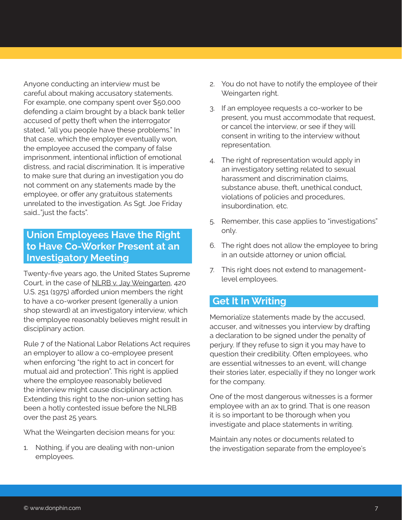Anyone conducting an interview must be careful about making accusatory statements. For example, one company spent over \$50,000 defending a claim brought by a black bank teller accused of petty theft when the interrogator stated, "all you people have these problems." In that case, which the employer eventually won, the employee accused the company of false imprisonment, intentional infliction of emotional distress, and racial discrimination. It is imperative to make sure that during an investigation you do not comment on any statements made by the employee, or offer any gratuitous statements unrelated to the investigation. As Sgt. Joe Friday said…"just the facts".

## **Union Employees Have the Right to Have Co-Worker Present at an Investigatory Meeting**

Twenty-five years ago, the United States Supreme Court, in the case of NLRB v. Jay Weingarten, 420 U.S. 251 (1975) afforded union members the right to have a co-worker present (generally a union shop steward) at an investigatory interview, which the employee reasonably believes might result in disciplinary action.

Rule 7 of the National Labor Relations Act requires an employer to allow a co-employee present when enforcing "the right to act in concert for mutual aid and protection". This right is applied where the employee reasonably believed the interview might cause disciplinary action. Extending this right to the non-union setting has been a hotly contested issue before the NLRB over the past 25 years.

What the Weingarten decision means for you:

1. Nothing, if you are dealing with non-union employees.

- 2. You do not have to notify the employee of their Weingarten right.
- 3. If an employee requests a co-worker to be present, you must accommodate that request, or cancel the interview, or see if they will consent in writing to the interview without representation.
- 4. The right of representation would apply in an investigatory setting related to sexual harassment and discrimination claims, substance abuse, theft, unethical conduct, violations of policies and procedures, insubordination, etc.
- 5. Remember, this case applies to "investigations" only.
- 6. The right does not allow the employee to bring in an outside attorney or union official.
- 7. This right does not extend to managementlevel employees.

# **Get It In Writing**

Memorialize statements made by the accused, accuser, and witnesses you interview by drafting a declaration to be signed under the penalty of perjury. If they refuse to sign it you may have to question their credibility. Often employees, who are essential witnesses to an event, will change their stories later, especially if they no longer work for the company.

One of the most dangerous witnesses is a former employee with an ax to grind. That is one reason it is so important to be thorough when you investigate and place statements in writing.

Maintain any notes or documents related to the investigation separate from the employee's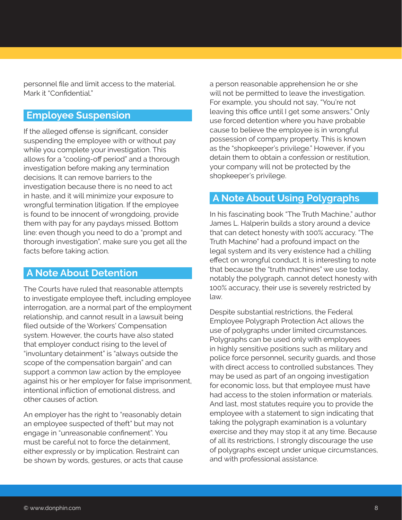personnel file and limit access to the material. Mark it "Confidential."

# **Employee Suspension**

If the alleged offense is significant, consider suspending the employee with or without pay while you complete your investigation. This allows for a "cooling-off period" and a thorough investigation before making any termination decisions. It can remove barriers to the investigation because there is no need to act in haste, and it will minimize your exposure to wrongful termination litigation. If the employee is found to be innocent of wrongdoing, provide them with pay for any paydays missed. Bottom line: even though you need to do a "prompt and thorough investigation", make sure you get all the facts before taking action.

#### **A Note About Detention**

The Courts have ruled that reasonable attempts to investigate employee theft, including employee interrogation, are a normal part of the employment relationship, and cannot result in a lawsuit being filed outside of the Workers' Compensation system. However, the courts have also stated that employer conduct rising to the level of "involuntary detainment" is "always outside the scope of the compensation bargain" and can support a common law action by the employee against his or her employer for false imprisonment, intentional infliction of emotional distress, and other causes of action.

An employer has the right to "reasonably detain an employee suspected of theft" but may not engage in "unreasonable confinement". You must be careful not to force the detainment, either expressly or by implication. Restraint can be shown by words, gestures, or acts that cause a person reasonable apprehension he or she will not be permitted to leave the investigation. For example, you should not say, "You're not leaving this office until I get some answers." Only use forced detention where you have probable cause to believe the employee is in wrongful possession of company property. This is known as the "shopkeeper's privilege." However, if you detain them to obtain a confession or restitution, your company will not be protected by the shopkeeper's privilege.

#### **A Note About Using Polygraphs**

In his fascinating book "The Truth Machine," author James L. Halperin builds a story around a device that can detect honesty with 100% accuracy. "The Truth Machine" had a profound impact on the legal system and its very existence had a chilling effect on wrongful conduct. It is interesting to note that because the "truth machines" we use today, notably the polygraph, cannot detect honesty with 100% accuracy, their use is severely restricted by law.

Despite substantial restrictions, the Federal Employee Polygraph Protection Act allows the use of polygraphs under limited circumstances. Polygraphs can be used only with employees in highly sensitive positions such as military and police force personnel, security guards, and those with direct access to controlled substances. They may be used as part of an ongoing investigation for economic loss, but that employee must have had access to the stolen information or materials. And last, most statutes require you to provide the employee with a statement to sign indicating that taking the polygraph examination is a voluntary exercise and they may stop it at any time. Because of all its restrictions, I strongly discourage the use of polygraphs except under unique circumstances, and with professional assistance.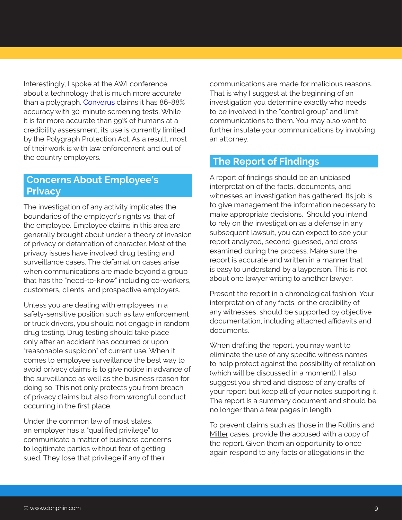Interestingly, I spoke at the AWI conference about a technology that is much more accurate than a polygraph. [Converus](https://converus.com/eyedetect/) claims it has 86-88% accuracy with 30-minute screening tests. While it is far more accurate than 99% of humans at a credibility assessment, its use is currently limited by the Polygraph Protection Act. As a result, most of their work is with law enforcement and out of the country employers.

#### **Concerns About Employee's Privacy**

The investigation of any activity implicates the boundaries of the employer's rights vs. that of the employee. Employee claims in this area are generally brought about under a theory of invasion of privacy or defamation of character. Most of the privacy issues have involved drug testing and surveillance cases. The defamation cases arise when communications are made beyond a group that has the "need-to-know" including co-workers, customers, clients, and prospective employers.

Unless you are dealing with employees in a safety-sensitive position such as law enforcement or truck drivers, you should not engage in random drug testing. Drug testing should take place only after an accident has occurred or upon "reasonable suspicion" of current use. When it comes to employee surveillance the best way to avoid privacy claims is to give notice in advance of the surveillance as well as the business reason for doing so. This not only protects you from breach of privacy claims but also from wrongful conduct occurring in the first place.

Under the common law of most states. an employer has a "qualified privilege" to communicate a matter of business concerns to legitimate parties without fear of getting sued. They lose that privilege if any of their

communications are made for malicious reasons. That is why I suggest at the beginning of an investigation you determine exactly who needs to be involved in the "control group" and limit communications to them. You may also want to further insulate your communications by involving an attorney.

## **The Report of Findings**

A report of findings should be an unbiased interpretation of the facts, documents, and witnesses an investigation has gathered. Its job is to give management the information necessary to make appropriate decisions. Should you intend to rely on the investigation as a defense in any subsequent lawsuit, you can expect to see your report analyzed, second-guessed, and crossexamined during the process. Make sure the report is accurate and written in a manner that is easy to understand by a layperson. This is not about one lawyer writing to another lawyer.

Present the report in a chronological fashion. Your interpretation of any facts, or the credibility of any witnesses, should be supported by objective documentation, including attached affidavits and documents.

When drafting the report, you may want to eliminate the use of any specific witness names to help protect against the possibility of retaliation (which will be discussed in a moment). I also suggest you shred and dispose of any drafts of your report but keep all of your notes supporting it. The report is a summary document and should be no longer than a few pages in length.

To prevent claims such as those in the Rollins and Miller cases, provide the accused with a copy of the report. Given them an opportunity to once again respond to any facts or allegations in the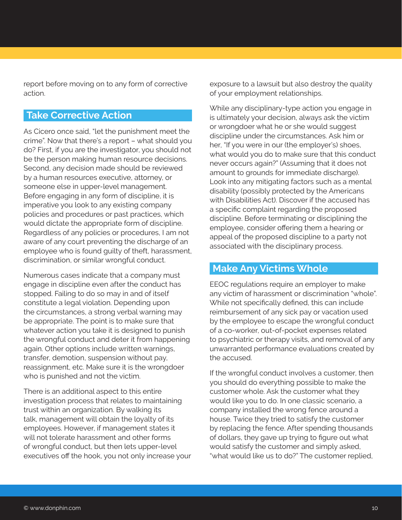report before moving on to any form of corrective action.

# **Take Corrective Action**

As Cicero once said, "let the punishment meet the crime". Now that there's a report – what should you do? First, if you are the investigator, you should not be the person making human resource decisions. Second, any decision made should be reviewed by a human resources executive, attorney, or someone else in upper-level management. Before engaging in any form of discipline, it is imperative you look to any existing company policies and procedures or past practices, which would dictate the appropriate form of discipline. Regardless of any policies or procedures, I am not aware of any court preventing the discharge of an employee who is found guilty of theft, harassment, discrimination, or similar wrongful conduct.

Numerous cases indicate that a company must engage in discipline even after the conduct has stopped. Failing to do so may in and of itself constitute a legal violation. Depending upon the circumstances, a strong verbal warning may be appropriate. The point is to make sure that whatever action you take it is designed to punish the wrongful conduct and deter it from happening again. Other options include written warnings, transfer, demotion, suspension without pay, reassignment, etc. Make sure it is the wrongdoer who is punished and not the victim.

There is an additional aspect to this entire investigation process that relates to maintaining trust within an organization. By walking its talk, management will obtain the loyalty of its employees. However, if management states it will not tolerate harassment and other forms of wrongful conduct, but then lets upper-level executives off the hook, you not only increase your exposure to a lawsuit but also destroy the quality of your employment relationships.

While any disciplinary-type action you engage in is ultimately your decision, always ask the victim or wrongdoer what he or she would suggest discipline under the circumstances. Ask him or her, "If you were in our (the employer's) shoes, what would you do to make sure that this conduct never occurs again?" (Assuming that it does not amount to grounds for immediate discharge). Look into any mitigating factors such as a mental disability (possibly protected by the Americans with Disabilities Act). Discover if the accused has a specific complaint regarding the proposed discipline. Before terminating or disciplining the employee, consider offering them a hearing or appeal of the proposed discipline to a party not associated with the disciplinary process.

## **Make Any Victims Whole**

EEOC regulations require an employer to make any victim of harassment or discrimination "whole". While not specifically defined, this can include reimbursement of any sick pay or vacation used by the employee to escape the wrongful conduct of a co-worker, out-of-pocket expenses related to psychiatric or therapy visits, and removal of any unwarranted performance evaluations created by the accused.

If the wrongful conduct involves a customer, then you should do everything possible to make the customer whole. Ask the customer what they would like you to do. In one classic scenario, a company installed the wrong fence around a house. Twice they tried to satisfy the customer by replacing the fence. After spending thousands of dollars, they gave up trying to figure out what would satisfy the customer and simply asked, "what would like us to do?" The customer replied,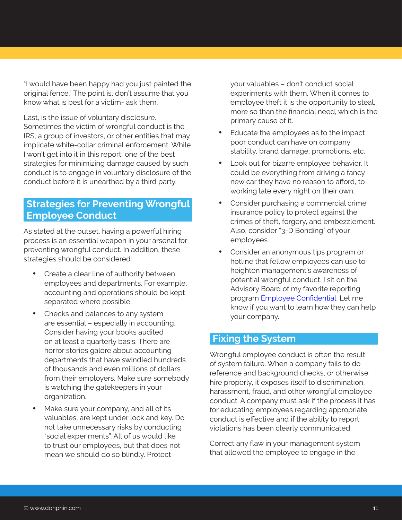"I would have been happy had you just painted the original fence." The point is, don't assume that you know what is best for a victim- ask them.

Last, is the issue of voluntary disclosure. Sometimes the victim of wrongful conduct is the IRS, a group of investors, or other entities that may implicate white-collar criminal enforcement. While I won't get into it in this report, one of the best strategies for minimizing damage caused by such conduct is to engage in voluntary disclosure of the conduct before it is unearthed by a third party.

# **Strategies for Preventing Wrongful Employee Conduct**

As stated at the outset, having a powerful hiring process is an essential weapon in your arsenal for preventing wrongful conduct. In addition, these strategies should be considered:

- Create a clear line of authority between employees and departments. For example, accounting and operations should be kept separated where possible.
- Checks and balances to any system are essential – especially in accounting. Consider having your books audited on at least a quarterly basis. There are horror stories galore about accounting departments that have swindled hundreds of thousands and even millions of dollars from their employers. Make sure somebody is watching the gatekeepers in your organization.
- Make sure your company, and all of its valuables, are kept under lock and key. Do not take unnecessary risks by conducting "social experiments". All of us would like to trust our employees, but that does not mean we should do so blindly. Protect

your valuables – don't conduct social experiments with them. When it comes to employee theft it is the opportunity to steal, more so than the financial need, which is the primary cause of it.

- Educate the employees as to the impact poor conduct can have on company stability, brand damage, promotions, etc.
- Look out for bizarre employee behavior. It could be everything from driving a fancy new car they have no reason to afford, to working late every night on their own.
- Consider purchasing a commercial crime insurance policy to protect against the crimes of theft, forgery, and embezzlement. Also, consider "3-D Bonding" of your employees.
- Consider an anonymous tips program or hotline that fellow employees can use to heighten management's awareness of potential wrongful conduct. I sit on the Advisory Board of my favorite reporting program [Employee Confidential](https://www.employeeconfidential.com/). Let me know if you want to learn how they can help your company.

#### **Fixing the System**

Wrongful employee conduct is often the result of system failure. When a company fails to do reference and background checks, or otherwise hire properly, it exposes itself to discrimination, harassment, fraud, and other wrongful employee conduct. A company must ask if the process it has for educating employees regarding appropriate conduct is effective and if the ability to report violations has been clearly communicated.

Correct any flaw in your management system that allowed the employee to engage in the